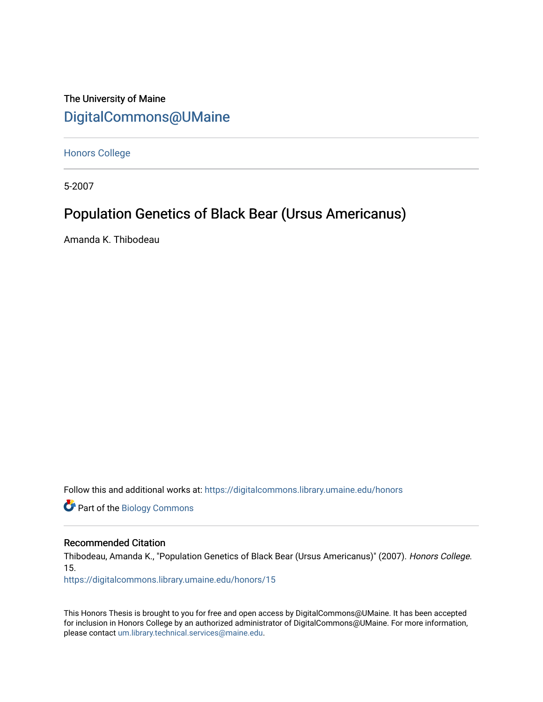The University of Maine [DigitalCommons@UMaine](https://digitalcommons.library.umaine.edu/)

[Honors College](https://digitalcommons.library.umaine.edu/honors)

5-2007

# Population Genetics of Black Bear (Ursus Americanus)

Amanda K. Thibodeau

Follow this and additional works at: [https://digitalcommons.library.umaine.edu/honors](https://digitalcommons.library.umaine.edu/honors?utm_source=digitalcommons.library.umaine.edu%2Fhonors%2F15&utm_medium=PDF&utm_campaign=PDFCoverPages) 

**Part of the Biology Commons** 

## Recommended Citation

Thibodeau, Amanda K., "Population Genetics of Black Bear (Ursus Americanus)" (2007). Honors College. 15.

[https://digitalcommons.library.umaine.edu/honors/15](https://digitalcommons.library.umaine.edu/honors/15?utm_source=digitalcommons.library.umaine.edu%2Fhonors%2F15&utm_medium=PDF&utm_campaign=PDFCoverPages) 

This Honors Thesis is brought to you for free and open access by DigitalCommons@UMaine. It has been accepted for inclusion in Honors College by an authorized administrator of DigitalCommons@UMaine. For more information, please contact [um.library.technical.services@maine.edu.](mailto:um.library.technical.services@maine.edu)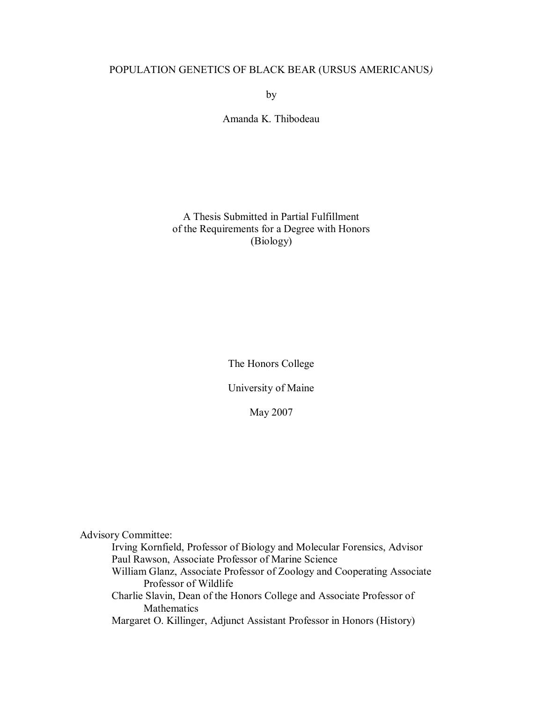# POPULATION GENETICS OF BLACK BEAR (URSUS AMERICANUS*)*

by

Amanda K. Thibodeau

# A Thesis Submitted in Partial Fulfillment of the Requirements for a Degree with Honors (Biology)

The Honors College

University of Maine

May 2007

Advisory Committee:

Irving Kornfield, Professor of Biology and Molecular Forensics, Advisor Paul Rawson, Associate Professor of Marine Science

William Glanz, Associate Professor of Zoology and Cooperating Associate Professor of Wildlife

Charlie Slavin, Dean of the Honors College and Associate Professor of **Mathematics** 

Margaret O. Killinger, Adjunct Assistant Professor in Honors (History)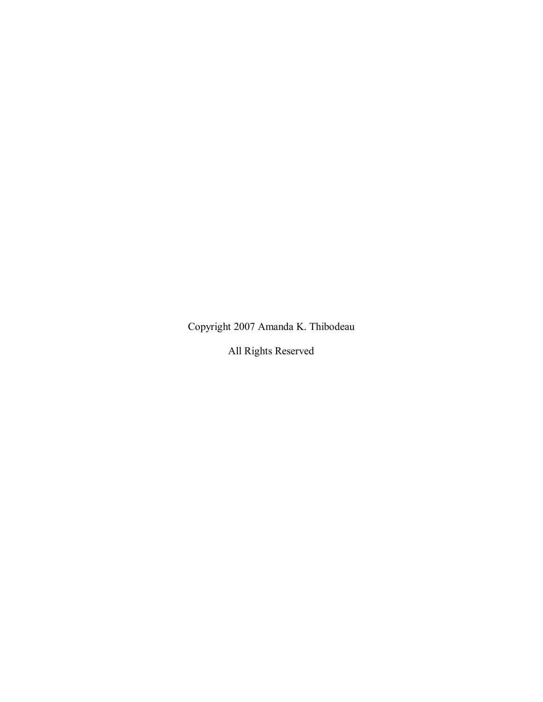Copyright 2007 Amanda K. Thibodeau

All Rights Reserved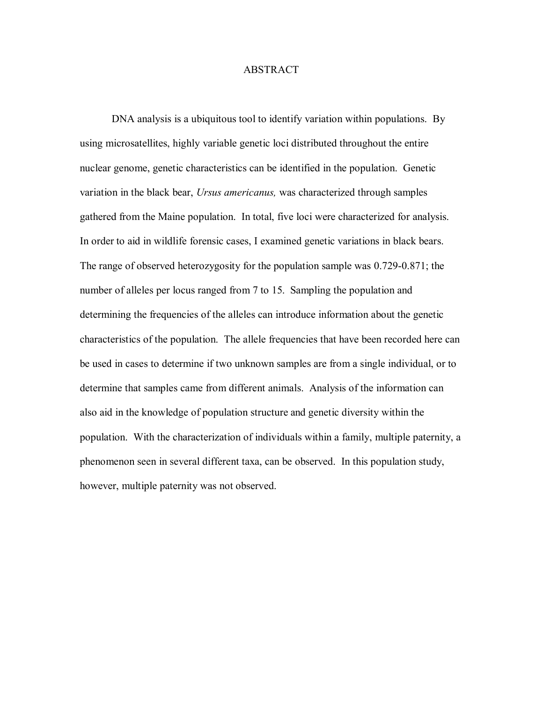## ABSTRACT

DNA analysis is a ubiquitous tool to identify variation within populations. By using microsatellites, highly variable genetic loci distributed throughout the entire nuclear genome, genetic characteristics can be identified in the population. Genetic variation in the black bear, *Ursus americanus,* was characterized through samples gathered from the Maine population. In total, five loci were characterized for analysis. In order to aid in wildlife forensic cases, I examined genetic variations in black bears. The range of observed heterozygosity for the population sample was 0.729-0.871; the number of alleles per locus ranged from 7 to 15. Sampling the population and determining the frequencies of the alleles can introduce information about the genetic characteristics of the population. The allele frequencies that have been recorded here can be used in cases to determine if two unknown samples are from a single individual, or to determine that samples came from different animals. Analysis of the information can also aid in the knowledge of population structure and genetic diversity within the population. With the characterization of individuals within a family, multiple paternity, a phenomenon seen in several different taxa, can be observed. In this population study, however, multiple paternity was not observed.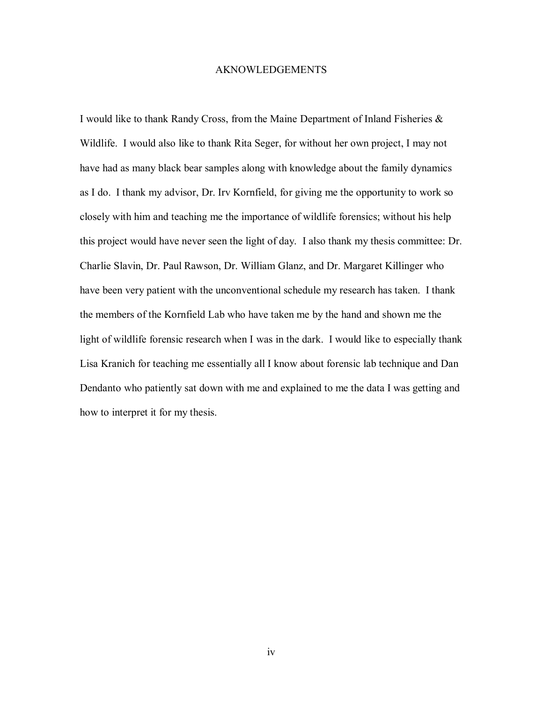## AKNOWLEDGEMENTS

I would like to thank Randy Cross, from the Maine Department of Inland Fisheries & Wildlife. I would also like to thank Rita Seger, for without her own project, I may not have had as many black bear samples along with knowledge about the family dynamics as I do. I thank my advisor, Dr. Irv Kornfield, for giving me the opportunity to work so closely with him and teaching me the importance of wildlife forensics; without his help this project would have never seen the light of day. I also thank my thesis committee: Dr. Charlie Slavin, Dr. Paul Rawson, Dr. William Glanz, and Dr. Margaret Killinger who have been very patient with the unconventional schedule my research has taken. I thank the members of the Kornfield Lab who have taken me by the hand and shown me the light of wildlife forensic research when I was in the dark. I would like to especially thank Lisa Kranich for teaching me essentially all I know about forensic lab technique and Dan Dendanto who patiently sat down with me and explained to me the data I was getting and how to interpret it for my thesis.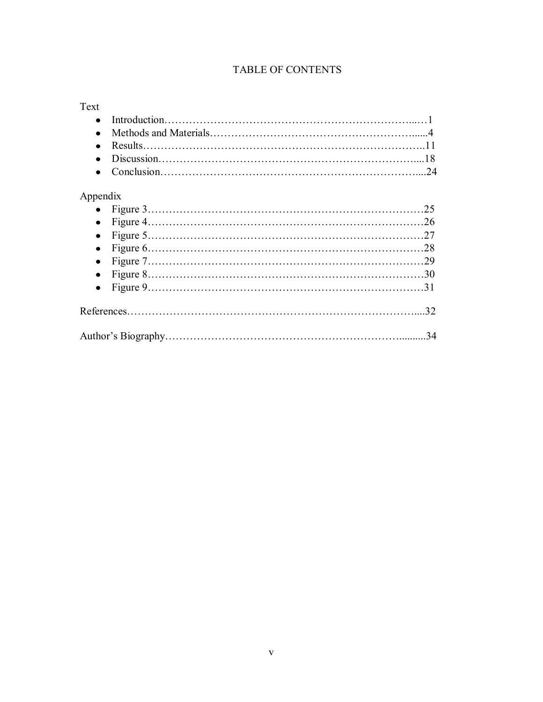# TABLE OF CONTENTS

# Text

# Appendix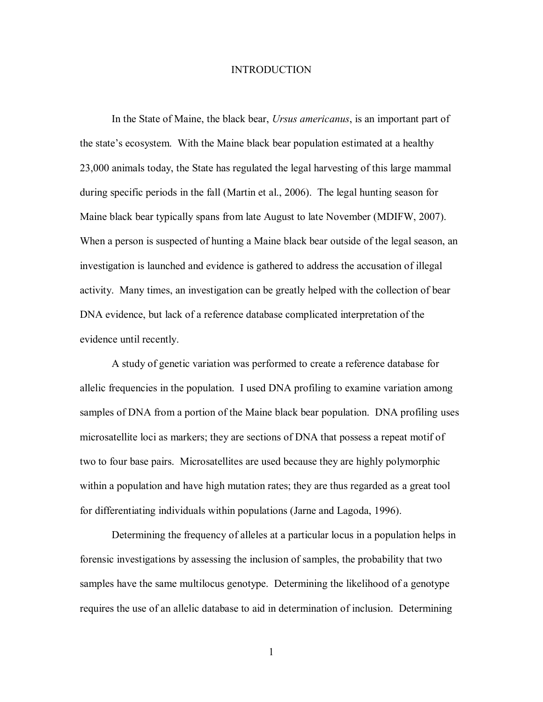### INTRODUCTION

In the State of Maine, the black bear, *Ursus americanus*, is an important part of the state's ecosystem. With the Maine black bear population estimated at a healthy 23,000 animals today, the State has regulated the legal harvesting of this large mammal during specific periods in the fall (Martin et al., 2006). The legal hunting season for Maine black bear typically spans from late August to late November (MDIFW, 2007). When a person is suspected of hunting a Maine black bear outside of the legal season, an investigation is launched and evidence is gathered to address the accusation of illegal activity. Many times, an investigation can be greatly helped with the collection of bear DNA evidence, but lack of a reference database complicated interpretation of the evidence until recently.

A study of genetic variation was performed to create a reference database for allelic frequencies in the population. I used DNA profiling to examine variation among samples of DNA from a portion of the Maine black bear population. DNA profiling uses microsatellite loci as markers; they are sections of DNA that possess a repeat motif of two to four base pairs. Microsatellites are used because they are highly polymorphic within a population and have high mutation rates; they are thus regarded as a great tool for differentiating individuals within populations (Jarne and Lagoda, 1996).

Determining the frequency of alleles at a particular locus in a population helps in forensic investigations by assessing the inclusion of samples, the probability that two samples have the same multilocus genotype. Determining the likelihood of a genotype requires the use of an allelic database to aid in determination of inclusion. Determining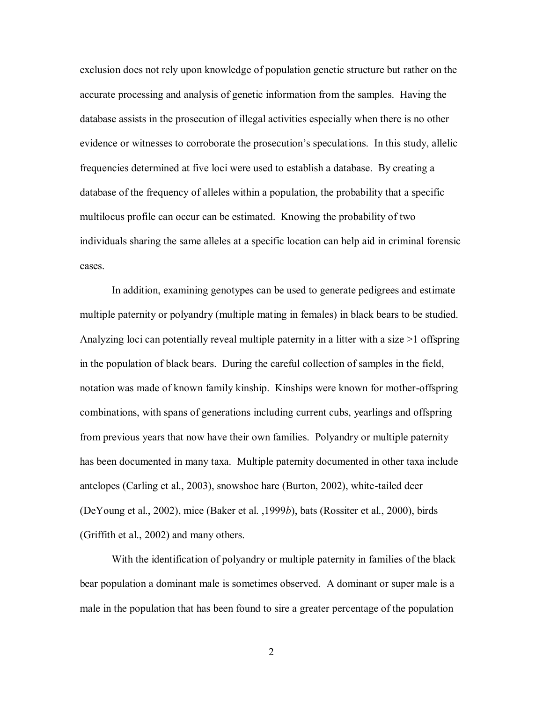exclusion does not rely upon knowledge of population genetic structure but rather on the accurate processing and analysis of genetic information from the samples. Having the database assists in the prosecution of illegal activities especially when there is no other evidence or witnesses to corroborate the prosecution's speculations. In this study, allelic frequencies determined at five loci were used to establish a database. By creating a database of the frequency of alleles within a population, the probability that a specific multilocus profile can occur can be estimated. Knowing the probability of two individuals sharing the same alleles at a specific location can help aid in criminal forensic cases.

In addition, examining genotypes can be used to generate pedigrees and estimate multiple paternity or polyandry (multiple mating in females) in black bears to be studied. Analyzing loci can potentially reveal multiple paternity in a litter with a size >1 offspring in the population of black bears. During the careful collection of samples in the field, notation was made of known family kinship. Kinships were known for mother-offspring combinations, with spans of generations including current cubs, yearlings and offspring from previous years that now have their own families. Polyandry or multiple paternity has been documented in many taxa. Multiple paternity documented in other taxa include antelopes (Carling et al., 2003), snowshoe hare (Burton, 2002), white-tailed deer (DeYoung et al., 2002), mice (Baker et al. ,1999*b*), bats (Rossiter et al., 2000), birds (Griffith et al., 2002) and many others.

With the identification of polyandry or multiple paternity in families of the black bear population a dominant male is sometimes observed. A dominant or super male is a male in the population that has been found to sire a greater percentage of the population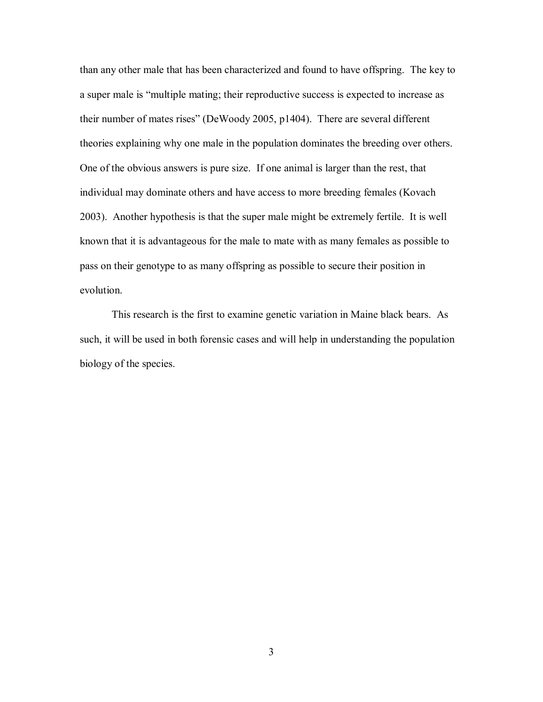than any other male that has been characterized and found to have offspring. The key to a super male is "multiple mating; their reproductive success is expected to increase as their number of mates rises" (DeWoody 2005, p1404). There are several different theories explaining why one male in the population dominates the breeding over others. One of the obvious answers is pure size. If one animal is larger than the rest, that individual may dominate others and have access to more breeding females (Kovach 2003). Another hypothesis is that the super male might be extremely fertile. It is well known that it is advantageous for the male to mate with as many females as possible to pass on their genotype to as many offspring as possible to secure their position in evolution.

This research is the first to examine genetic variation in Maine black bears. As such, it will be used in both forensic cases and will help in understanding the population biology of the species.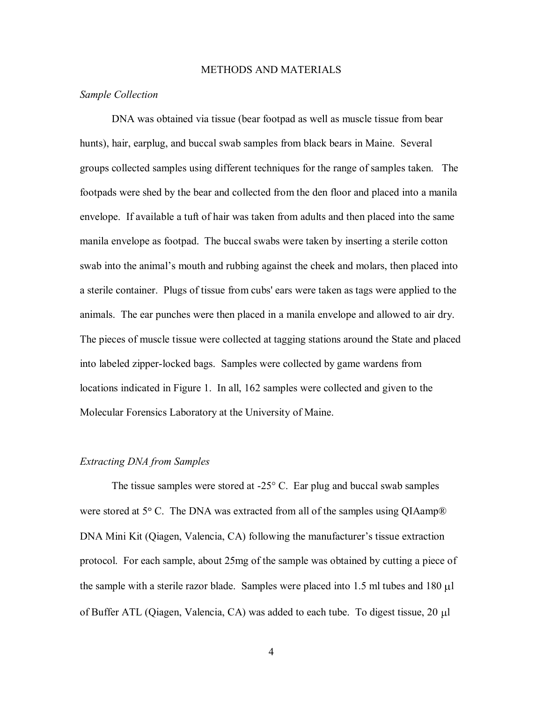#### METHODS AND MATERIALS

# *Sample Collection*

DNA was obtained via tissue (bear footpad as well as muscle tissue from bear hunts), hair, earplug, and buccal swab samples from black bears in Maine. Several groups collected samples using different techniques for the range of samples taken. The footpads were shed by the bear and collected from the den floor and placed into a manila envelope. If available a tuft of hair was taken from adults and then placed into the same manila envelope as footpad. The buccal swabs were taken by inserting a sterile cotton swab into the animal's mouth and rubbing against the cheek and molars, then placed into a sterile container. Plugs of tissue from cubs' ears were taken as tags were applied to the animals. The ear punches were then placed in a manila envelope and allowed to air dry. The pieces of muscle tissue were collected at tagging stations around the State and placed into labeled zipper-locked bags. Samples were collected by game wardens from locations indicated in Figure 1. In all, 162 samples were collected and given to the Molecular Forensics Laboratory at the University of Maine.

#### *Extracting DNA from Samples*

The tissue samples were stored at -25° C. Ear plug and buccal swab samples were stored at  $5^{\circ}$  C. The DNA was extracted from all of the samples using QIAamp® DNA Mini Kit (Qiagen, Valencia, CA) following the manufacturer's tissue extraction protocol. For each sample, about 25mg of the sample was obtained by cutting a piece of the sample with a sterile razor blade. Samples were placed into  $1.5$  ml tubes and  $180 \mu$ l of Buffer ATL (Qiagen, Valencia, CA) was added to each tube. To digest tissue, 20 l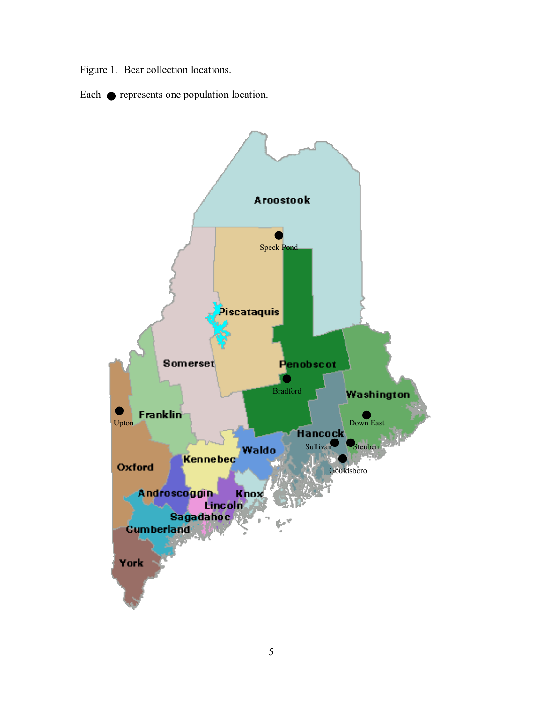Figure 1. Bear collection locations.

Each  $\bullet$  represents one population location.

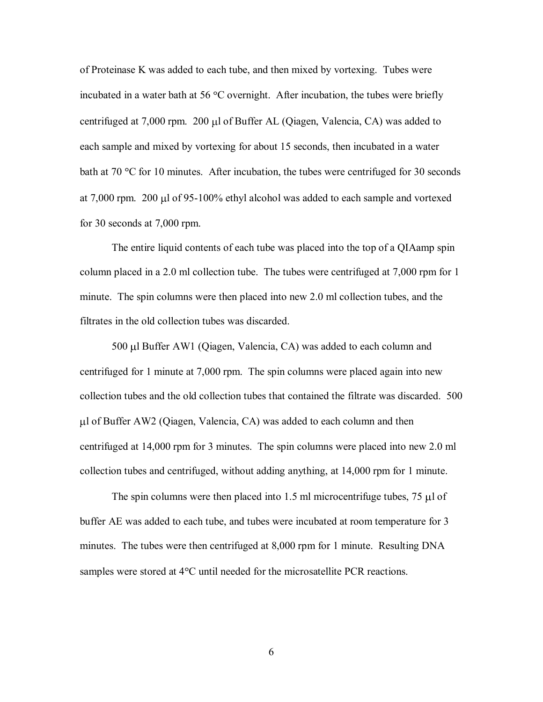of Proteinase K was added to each tube, and then mixed by vortexing. Tubes were incubated in a water bath at 56  $\degree$ C overnight. After incubation, the tubes were briefly centrifuged at  $7,000$  rpm. 200  $\mu$ l of Buffer AL (Qiagen, Valencia, CA) was added to each sample and mixed by vortexing for about 15 seconds, then incubated in a water bath at 70  $\degree$ C for 10 minutes. After incubation, the tubes were centrifuged for 30 seconds at 7,000 rpm. 200 µl of 95-100% ethyl alcohol was added to each sample and vortexed for 30 seconds at 7,000 rpm.

The entire liquid contents of each tube was placed into the top of a QIAamp spin column placed in a 2.0 ml collection tube. The tubes were centrifuged at 7,000 rpm for 1 minute. The spin columns were then placed into new 2.0 ml collection tubes, and the filtrates in the old collection tubes was discarded.

 $500 \mu$ l Buffer AW1 (Qiagen, Valencia, CA) was added to each column and centrifuged for 1 minute at 7,000 rpm. The spin columns were placed again into new collection tubes and the old collection tubes that contained the filtrate was discarded. 500 l of Buffer AW2 (Qiagen, Valencia, CA) was added to each column and then centrifuged at 14,000 rpm for 3 minutes. The spin columns were placed into new 2.0 ml collection tubes and centrifuged, without adding anything, at 14,000 rpm for 1 minute.

The spin columns were then placed into 1.5 ml microcentrifuge tubes, 75  $\mu$ l of buffer AE was added to each tube, and tubes were incubated at room temperature for 3 minutes. The tubes were then centrifuged at 8,000 rpm for 1 minute. Resulting DNA samples were stored at  $4^{\circ}$ C until needed for the microsatellite PCR reactions.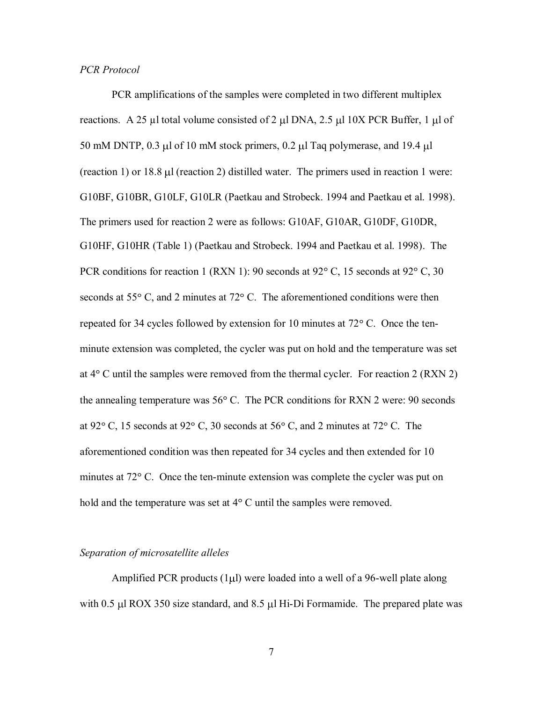# *PCR Protocol*

PCR amplifications of the samples were completed in two different multiplex reactions. A 25  $\mu$ l total volume consisted of 2  $\mu$ l DNA, 2.5  $\mu$ l 10X PCR Buffer, 1  $\mu$ l of 50 mM DNTP,  $0.3 \mu$ l of 10 mM stock primers,  $0.2 \mu$ l Taq polymerase, and 19.4  $\mu$ l (reaction 1) or  $18.8 \mu$  (reaction 2) distilled water. The primers used in reaction 1 were: G10BF, G10BR, G10LF, G10LR (Paetkau and Strobeck. 1994 and Paetkau et al. 1998). The primers used for reaction 2 were as follows: G10AF, G10AR, G10DF, G10DR, G10HF, G10HR (Table 1) (Paetkau and Strobeck. 1994 and Paetkau et al. 1998). The PCR conditions for reaction 1 (RXN 1): 90 seconds at  $92^{\circ}$  C, 15 seconds at  $92^{\circ}$  C, 30 seconds at  $55^{\circ}$  C, and 2 minutes at  $72^{\circ}$  C. The aforementioned conditions were then repeated for 34 cycles followed by extension for 10 minutes at  $72^{\circ}$  C. Once the tenminute extension was completed, the cycler was put on hold and the temperature was set at  $4^{\circ}$  C until the samples were removed from the thermal cycler. For reaction 2 (RXN 2) the annealing temperature was  $56^{\circ}$  C. The PCR conditions for RXN 2 were: 90 seconds at 92 $^{\circ}$  C, 15 seconds at 92 $^{\circ}$  C, 30 seconds at 56 $^{\circ}$  C, and 2 minutes at 72 $^{\circ}$  C. The aforementioned condition was then repeated for 34 cycles and then extended for 10 minutes at 72° C. Once the ten-minute extension was complete the cycler was put on hold and the temperature was set at  $4^{\circ}$  C until the samples were removed.

# *Separation of microsatellite alleles*

Amplified PCR products  $(1\mu l)$  were loaded into a well of a 96-well plate along with  $0.5 \mu$ l ROX 350 size standard, and  $8.5 \mu$ l Hi-Di Formamide. The prepared plate was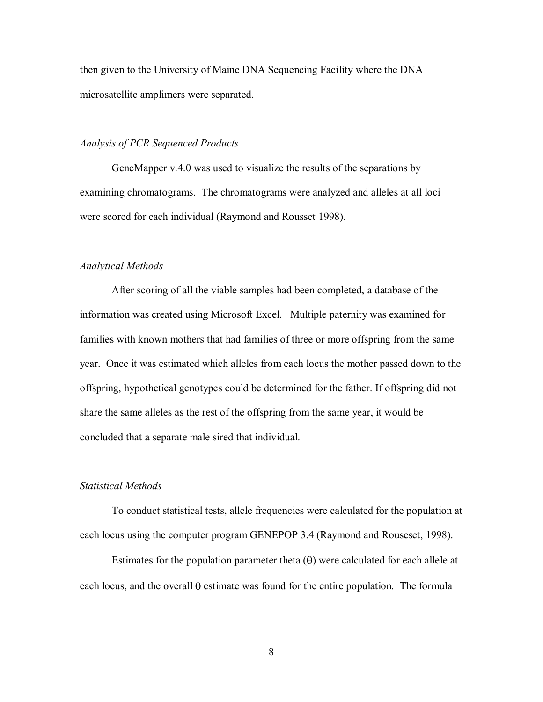then given to the University of Maine DNA Sequencing Facility where the DNA microsatellite amplimers were separated.

# *Analysis of PCR Sequenced Products*

GeneMapper v.4.0 was used to visualize the results of the separations by examining chromatograms. The chromatograms were analyzed and alleles at all loci were scored for each individual (Raymond and Rousset 1998).

# *Analytical Methods*

After scoring of all the viable samples had been completed, a database of the information was created using Microsoft Excel. Multiple paternity was examined for families with known mothers that had families of three or more offspring from the same year. Once it was estimated which alleles from each locus the mother passed down to the offspring, hypothetical genotypes could be determined for the father. If offspring did not share the same alleles as the rest of the offspring from the same year, it would be concluded that a separate male sired that individual.

## *Statistical Methods*

To conduct statistical tests, allele frequencies were calculated for the population at each locus using the computer program GENEPOP 3.4 (Raymond and Rouseset, 1998).

Estimates for the population parameter theta  $(\theta)$  were calculated for each allele at each locus, and the overall  $\theta$  estimate was found for the entire population. The formula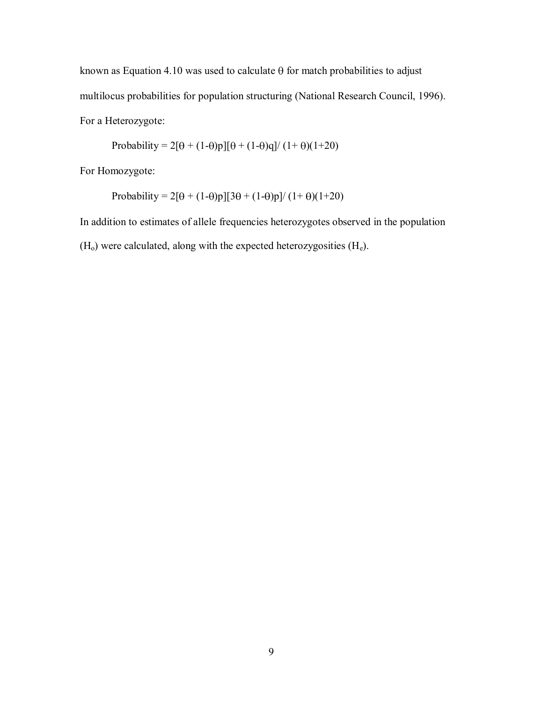known as Equation 4.10 was used to calculate  $\theta$  for match probabilities to adjust multilocus probabilities for population structuring (National Research Council, 1996). For a Heterozygote:

Probability = 
$$
2[\theta + (1-\theta)p][\theta + (1-\theta)q]/(1+\theta)(1+20)
$$

For Homozygote:

Probability =  $2[\theta + (1-\theta)p][3\theta + (1-\theta)p]/(1+\theta)(1+20)$ 

In addition to estimates of allele frequencies heterozygotes observed in the population  $(H<sub>o</sub>)$  were calculated, along with the expected heterozygosities  $(H<sub>e</sub>)$ .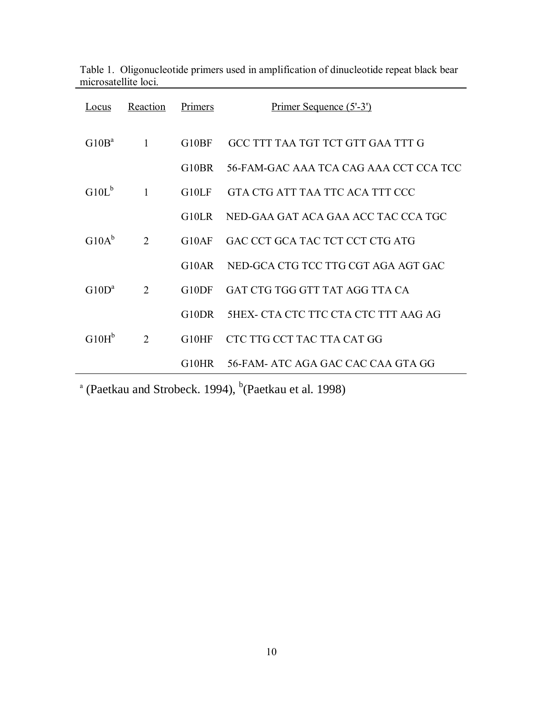| Locus             | Reaction       | Primers            | Primer Sequence (5'-3')                     |
|-------------------|----------------|--------------------|---------------------------------------------|
| G10B <sup>a</sup> | $\mathbf{1}$   | G <sub>10</sub> BF | GCC TTT TAA TGT TCT GTT GAA TTT G           |
|                   |                | G10BR              | 56-FAM-GAC AAA TCA CAG AAA CCT CCA TCC      |
| $G10L^b$          | $\mathbf{1}$   | G10LF              | GTA CTG ATT TAA TTC ACA TTT CCC             |
|                   |                | G10LR              | NED-GAA GAT ACA GAA ACC TAC CCA TGC         |
| $G10A^b$          | $\overline{2}$ | G10AF              | GAC CCT GCA TAC TCT CCT CTG ATG             |
|                   |                | G10AR              | NED-GCA CTG TCC TTG CGT AGA AGT GAC         |
| $G10D^a$          | $\mathcal{L}$  | G10DF              | GAT CTG TGG GTT TAT AGG TTA CA              |
|                   |                | G10DR              | <b>5HEX- CTA CTC TTC CTA CTC TTT AAG AG</b> |
| $G10H^b$          | $\overline{2}$ | G10HF              | CTC TTG CCT TAC TTA CAT GG                  |
|                   |                | G10HR -            | 56-FAM- ATC AGA GAC CAC CAA GTA GG          |

|                      |  | Table 1. Oligonucleotide primers used in amplification of dinucleotide repeat black bear |  |
|----------------------|--|------------------------------------------------------------------------------------------|--|
| microsatellite loci. |  |                                                                                          |  |

 $^{\circ}$  (Paetkau and Strobeck. 1994),  $^{\circ}$ (Paetkau et al. 1998)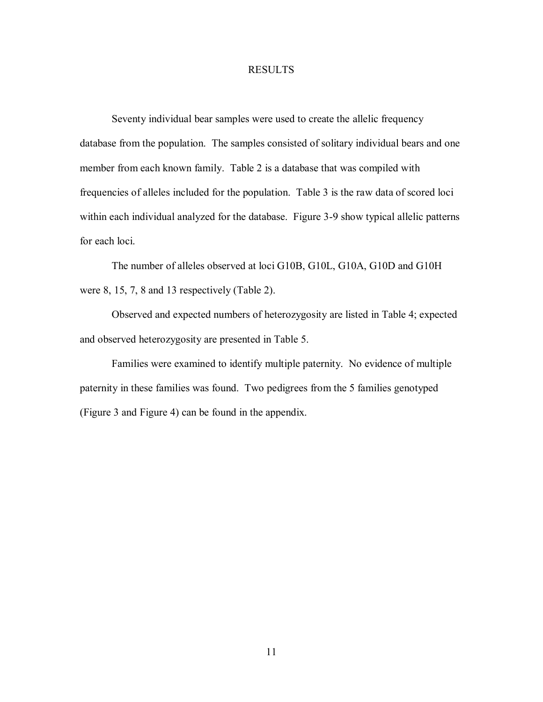# RESULTS

Seventy individual bear samples were used to create the allelic frequency database from the population. The samples consisted of solitary individual bears and one member from each known family. Table 2 is a database that was compiled with frequencies of alleles included for the population. Table 3 is the raw data of scored loci within each individual analyzed for the database. Figure 3-9 show typical allelic patterns for each loci.

The number of alleles observed at loci G10B, G10L, G10A, G10D and G10H were 8, 15, 7, 8 and 13 respectively (Table 2).

Observed and expected numbers of heterozygosity are listed in Table 4; expected and observed heterozygosity are presented in Table 5.

Families were examined to identify multiple paternity. No evidence of multiple paternity in these families was found. Two pedigrees from the 5 families genotyped (Figure 3 and Figure 4) can be found in the appendix.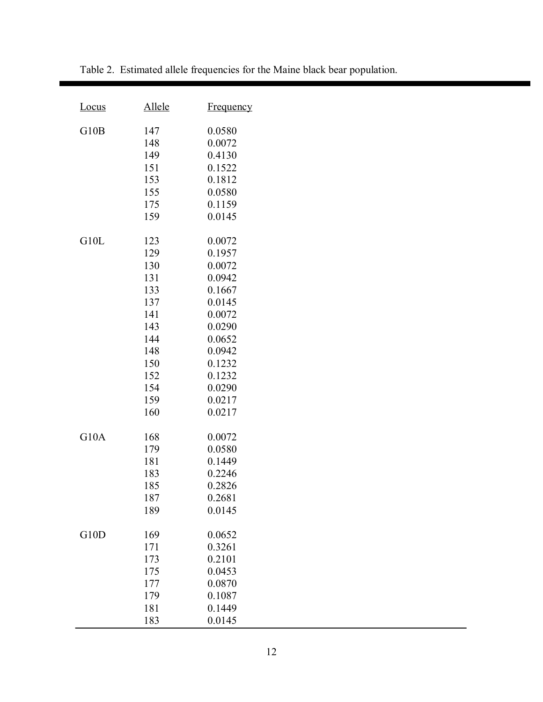| <u>Locus</u> | <u>Allele</u>                                                                                         | <b>Frequency</b>                                                                                                                                   |
|--------------|-------------------------------------------------------------------------------------------------------|----------------------------------------------------------------------------------------------------------------------------------------------------|
| G10B         | 147<br>148<br>149<br>151<br>153<br>155<br>175<br>159                                                  | 0.0580<br>0.0072<br>0.4130<br>0.1522<br>0.1812<br>0.0580<br>0.1159<br>0.0145                                                                       |
| G10L         | 123<br>129<br>130<br>131<br>133<br>137<br>141<br>143<br>144<br>148<br>150<br>152<br>154<br>159<br>160 | 0.0072<br>0.1957<br>0.0072<br>0.0942<br>0.1667<br>0.0145<br>0.0072<br>0.0290<br>0.0652<br>0.0942<br>0.1232<br>0.1232<br>0.0290<br>0.0217<br>0.0217 |
| G10A         | 168<br>179<br>181<br>183<br>185<br>187<br>189                                                         | 0.0072<br>0.0580<br>0.1449<br>0.2246<br>0.2826<br>0.2681<br>0.0145                                                                                 |
| G10D         | 169<br>171<br>173<br>175<br>177<br>179<br>181<br>183                                                  | 0.0652<br>0.3261<br>0.2101<br>0.0453<br>0.0870<br>0.1087<br>0.1449<br>0.0145                                                                       |

Table 2. Estimated allele frequencies for the Maine black bear population.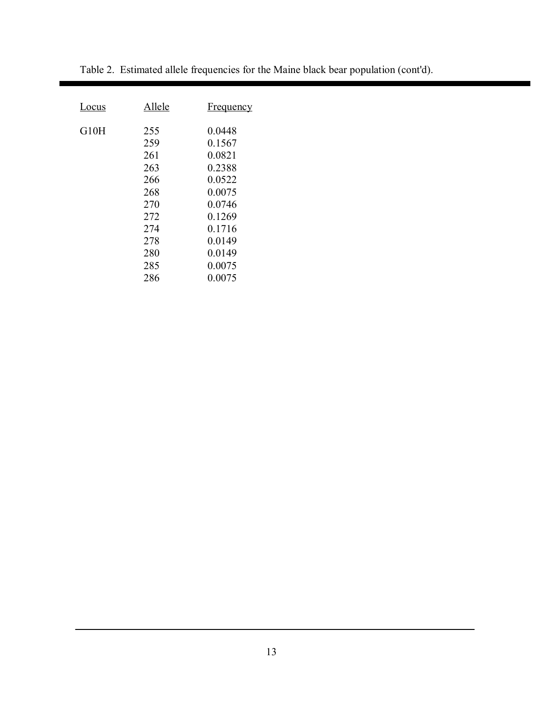| Locus | Allele | <b>Frequency</b> |
|-------|--------|------------------|
| G10H  | 255    | 0.0448           |
|       | 259    | 0.1567           |
|       | 261    | 0.0821           |
|       | 263    | 0.2388           |
|       | 266    | 0.0522           |
|       | 268    | 0.0075           |
|       | 270    | 0.0746           |
|       | 272    | 0.1269           |
|       | 274    | 0.1716           |
|       | 278    | 0.0149           |
|       | 280    | 0.0149           |
|       | 285    | 0.0075           |
|       | 286    | 0.0075           |

Table 2. Estimated allele frequencies for the Maine black bear population (cont'd).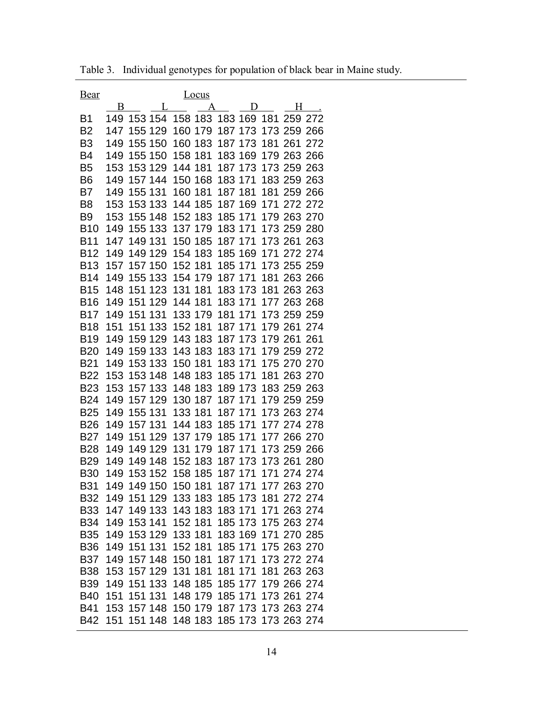| Bear           |     |                     | Locus               |         |                |                                     |
|----------------|-----|---------------------|---------------------|---------|----------------|-------------------------------------|
|                | B   | L                   | A                   |         | $\overline{D}$ | H                                   |
| B1             | 149 | 153 154             | 158 183             | 183 169 | 181            | 259<br>272                          |
| B <sub>2</sub> | 147 | 155 129             | 160 179             | 187 173 |                | 173 259<br>266                      |
| B <sub>3</sub> | 149 | 155 150             | 160 183             | 187 173 |                | 181 261<br>272                      |
| B4             | 149 | 155 150             | 158 181             | 183 169 |                | 179 263 266                         |
| B <sub>5</sub> | 153 | 153 129             | 144 181             | 187 173 |                | 173 259 263                         |
| B6             | 149 | 157 144             | 150 168             | 183 171 |                | 183 259 263                         |
| B7             | 149 | 155 131             | 160 181             | 187 181 |                | 181 259 266                         |
| B8             | 153 | 153 133             | 144 185             | 187 169 |                | 171 272 272                         |
| B <sub>9</sub> | 153 | 155 148             | 152 183             | 185 171 |                | 179 263 270                         |
| <b>B10</b>     | 149 | 155 133             | 137 179             | 183 171 |                | 173 259 280                         |
| <b>B11</b>     | 147 | 149 131             | 150 185             | 187 171 |                | 173 261<br>263                      |
| <b>B12</b>     | 149 | 149 129             | 154 183             | 185 169 |                | 171 272 274                         |
| <b>B13</b>     | 157 | 157 150             | 152 181             | 185 171 |                | 173 255 259                         |
| <b>B14</b>     | 149 | 155 133             | 154 179             | 187 171 |                | 181 263 266                         |
| <b>B15</b>     | 148 | 151 123             | 131 181             | 183 173 |                | 181 263 263                         |
| <b>B16</b>     | 149 | 151 129             | 144 181             | 183 171 |                | 177 263 268                         |
| <b>B17</b>     | 149 | 151 131             | 133 179             | 181 171 |                | 173 259 259                         |
| <b>B18</b>     | 151 | 151 133             | 152 181             | 187 171 |                | 179 261<br>274                      |
| <b>B19</b>     | 149 | 159 129             | 143 183             | 187 173 |                | 179 261 261                         |
| <b>B20</b>     | 149 | 159 133             | 143 183             | 183 171 |                | 179 259 272                         |
| <b>B21</b>     | 149 | 153 133             | 150 181             | 183 171 |                | 175 270 270                         |
| <b>B22</b>     | 153 | 153 148             | 148 183             | 185 171 |                | 181 263 270                         |
| <b>B23</b>     | 153 | 157 133             | 148 183             | 189 173 |                | 183 259 263                         |
| B24            | 149 | 157 129             | 130 187             | 187 171 |                | 179 259 259                         |
| <b>B25</b>     | 149 | 155 131             | 133 181             | 187 171 |                | 173 263 274                         |
| <b>B26</b>     | 149 | 157 131             | 144 183             | 185 171 |                | 177 274 278                         |
| B27            | 149 | 151 129             | 137 179             | 185 171 |                | 177 266 270                         |
| <b>B28</b>     | 149 | 149 129             | 179<br>131          | 187 171 |                | 173 259 266                         |
| <b>B29</b>     | 149 | 149 148             | 152 183             | 187 173 |                | 173 261<br>280                      |
| <b>B30</b>     | 149 | 153 152             | 158 185             | 187 171 |                | 171 274 274                         |
| <b>B31</b>     |     | 149 149 150 150 181 |                     |         |                | 187 171 177 263 270                 |
| <b>B32</b>     |     | 149 151 129         | 133 183             |         |                | 185 173 181 272 274                 |
| <b>B33</b>     |     |                     | 147 149 133 143 183 |         |                | 183 171 171 263 274                 |
| <b>B34</b>     |     | 149 153 141         | 152 181             |         |                | 185 173 175 263 274                 |
| <b>B35</b>     |     |                     | 149 153 129 133 181 |         |                | 183 169 171 270 285                 |
| <b>B36</b>     |     | 149 151 131         | 152 181             |         |                | 185 171 175 263 270                 |
| <b>B37</b>     |     | 149 157 148         | 150 181             | 187 171 |                | 173 272 274                         |
| <b>B38</b>     | 153 | 157 129             | 131 181             | 181 171 |                | 181 263 263                         |
| <b>B39</b>     |     | 149 151 133         | 148 185             |         |                | 185 177 179 266 274                 |
| <b>B40</b>     | 151 | 151 131             | 148 179             | 185 171 |                | 173 261 274                         |
| B41            |     |                     | 153 157 148 150 179 |         |                | 187 173 173 263 274                 |
| B42            | 151 |                     |                     |         |                | 151 148 148 183 185 173 173 263 274 |

Table 3. Individual genotypes for population of black bear in Maine study.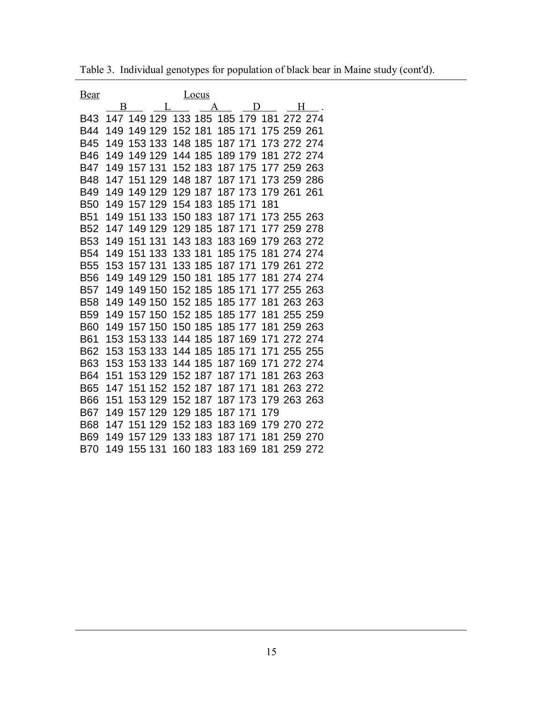| <u>Bear</u> |     |         |         | Locus   |         |         |     |             |         |
|-------------|-----|---------|---------|---------|---------|---------|-----|-------------|---------|
|             | B   |         | L       | A       |         | D       |     | H           |         |
| <b>B43</b>  | 147 | 149 129 |         | 133 185 |         | 185 179 | 181 | 272 274     |         |
| B44         | 149 | 149 129 | 152 181 |         | 185 171 |         | 175 | 259 261     |         |
| <b>B45</b>  | 149 | 153 133 | 148     | 185     | 187 171 |         |     | 173 272 274 |         |
| <b>B46</b>  | 149 | 149 129 | 144     | 185     |         | 189 179 | 181 | 272 274     |         |
| B47         | 149 | 157 131 | 152     | 183     |         | 187 175 | 177 | 259         | 263     |
| <b>B48</b>  | 147 | 151 129 | 148     | 187     | 187 171 |         |     | 173 259     | 286     |
| <b>B49</b>  | 149 | 149 129 | 129     | 187     |         | 187 173 |     | 179 261 261 |         |
| <b>B50</b>  | 149 | 157 129 |         | 154 183 | 185 171 |         | 181 |             |         |
| <b>B51</b>  | 149 | 151 133 | 150     | 183     | 187 171 |         |     | 173 255 263 |         |
| <b>B52</b>  | 147 | 149 129 | 129     | 185     | 187 171 |         |     | 177 259     | 278     |
| <b>B53</b>  | 149 | 151 131 | 143     | 183     |         | 183 169 |     | 179 263     | 272     |
| <b>B54</b>  | 149 | 151 133 | 133 181 |         |         | 185 175 |     | 181 274 274 |         |
| <b>B55</b>  | 153 | 157 131 | 133     | 185     | 187 171 |         |     | 179 261     | 272     |
| <b>B56</b>  | 149 | 149 129 | 150     | 181     |         | 185 177 | 181 | 274 274     |         |
| <b>B57</b>  | 149 | 149 150 |         | 152 185 | 185 171 |         |     | 177 255 263 |         |
| <b>B58</b>  | 149 | 149 150 |         | 152 185 |         | 185 177 | 181 | 263 263     |         |
| <b>B59</b>  | 149 | 157 150 |         | 152 185 |         | 185 177 | 181 | 255 259     |         |
| <b>B60</b>  | 149 | 157 150 | 150     | 185     |         | 185 177 | 181 | 259 263     |         |
| <b>B61</b>  | 153 | 153 133 |         | 144 185 |         | 187 169 | 171 | 272 274     |         |
| <b>B62</b>  | 153 | 153 133 |         | 144 185 | 185 171 |         | 171 | 255 255     |         |
| <b>B63</b>  | 153 | 153 133 | 144     | 185     |         | 187 169 | 171 | 272 274     |         |
| <b>B64</b>  | 151 | 153 129 |         | 152 187 | 187 171 |         | 181 |             | 263 263 |
| <b>B65</b>  | 147 | 151 152 |         | 152 187 | 187 171 |         | 181 | 263 272     |         |
| <b>B66</b>  | 151 | 153 129 |         | 152 187 |         | 187 173 |     | 179 263 263 |         |
| B67         | 149 | 157 129 | 129     | 185     | 187 171 |         | 179 |             |         |
| <b>B68</b>  | 147 | 151 129 | 152     | 183     |         | 183 169 |     | 179 270 272 |         |
| <b>B69</b>  | 149 | 157 129 |         | 133 183 | 187 171 |         | 181 | 259 270     |         |
| <b>B70</b>  | 149 | 155 131 |         | 160 183 |         | 183 169 | 181 | 259 272     |         |

Table 3. Individual genotypes for population of black bear in Maine study (cont'd).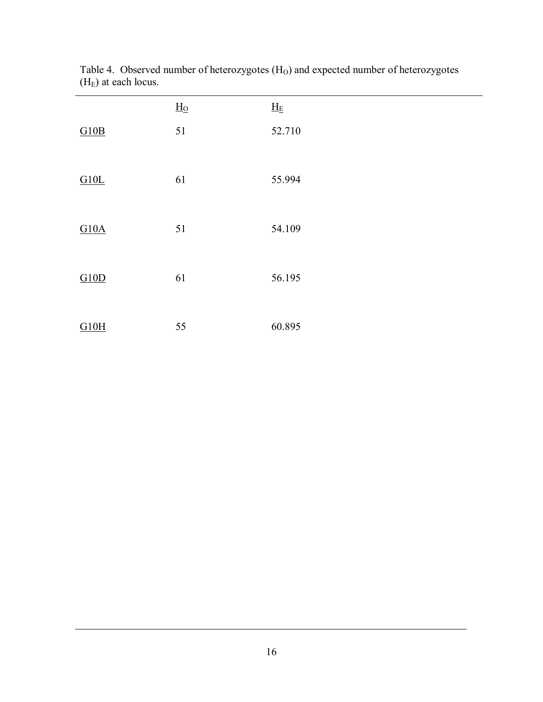|      | $H_{\Omega}$ | $\underline{H}_E$ |
|------|--------------|-------------------|
| G10B | 51           | 52.710            |
| G10L | 61           | 55.994            |
| G10A | 51           | 54.109            |
| G10D | 61           | 56.195            |
| G10H | 55           | 60.895            |

Table 4. Observed number of heterozygotes  $(H<sub>O</sub>)$  and expected number of heterozygotes  $(H<sub>E</sub>)$  at each locus.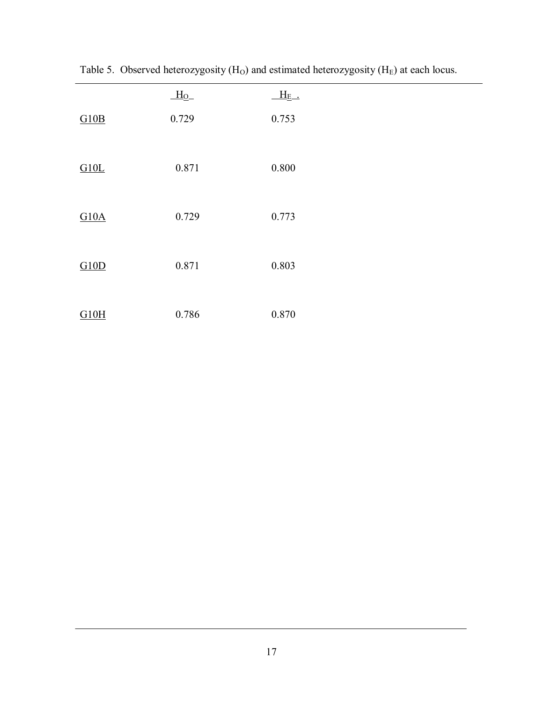|      | $H_0$ | $H_{E}$ . |
|------|-------|-----------|
| G10B | 0.729 | 0.753     |
| G10L | 0.871 | 0.800     |
| G10A | 0.729 | 0.773     |
| G10D | 0.871 | 0.803     |
| G10H | 0.786 | 0.870     |

Table 5. Observed heterozygosity  $(H<sub>O</sub>)$  and estimated heterozygosity  $(H<sub>E</sub>)$  at each locus.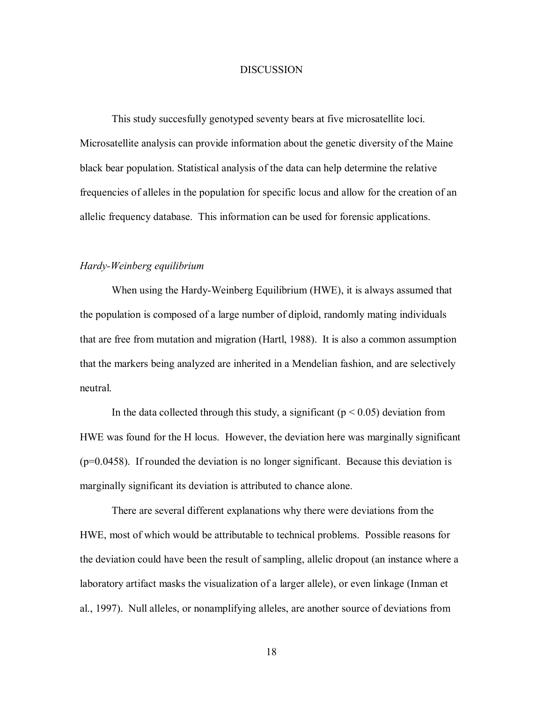# **DISCUSSION**

This study succesfully genotyped seventy bears at five microsatellite loci. Microsatellite analysis can provide information about the genetic diversity of the Maine black bear population. Statistical analysis of the data can help determine the relative frequencies of alleles in the population for specific locus and allow for the creation of an allelic frequency database. This information can be used for forensic applications.

# *Hardy-Weinberg equilibrium*

When using the Hardy-Weinberg Equilibrium (HWE), it is always assumed that the population is composed of a large number of diploid, randomly mating individuals that are free from mutation and migration (Hartl, 1988). It is also a common assumption that the markers being analyzed are inherited in a Mendelian fashion, and are selectively neutral.

In the data collected through this study, a significant ( $p < 0.05$ ) deviation from HWE was found for the H locus. However, the deviation here was marginally significant (p=0.0458). If rounded the deviation is no longer significant. Because this deviation is marginally significant its deviation is attributed to chance alone.

There are several different explanations why there were deviations from the HWE, most of which would be attributable to technical problems. Possible reasons for the deviation could have been the result of sampling, allelic dropout (an instance where a laboratory artifact masks the visualization of a larger allele), or even linkage (Inman et al., 1997). Null alleles, or nonamplifying alleles, are another source of deviations from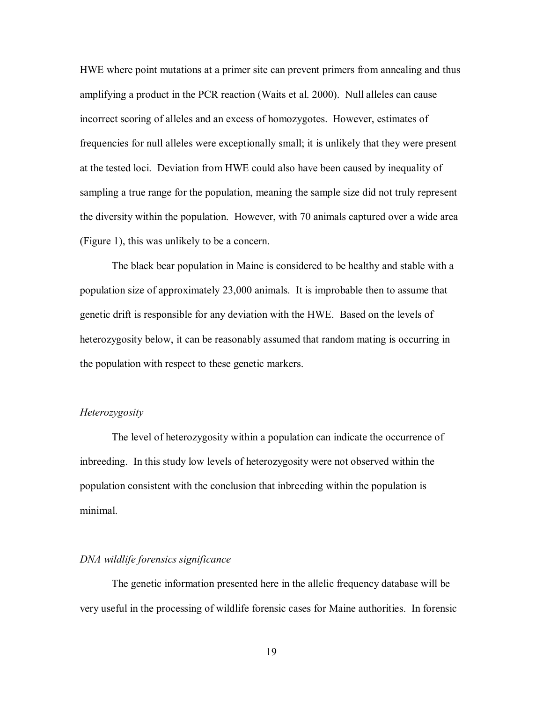HWE where point mutations at a primer site can prevent primers from annealing and thus amplifying a product in the PCR reaction (Waits et al. 2000). Null alleles can cause incorrect scoring of alleles and an excess of homozygotes. However, estimates of frequencies for null alleles were exceptionally small; it is unlikely that they were present at the tested loci. Deviation from HWE could also have been caused by inequality of sampling a true range for the population, meaning the sample size did not truly represent the diversity within the population. However, with 70 animals captured over a wide area (Figure 1), this was unlikely to be a concern.

The black bear population in Maine is considered to be healthy and stable with a population size of approximately 23,000 animals. It is improbable then to assume that genetic drift is responsible for any deviation with the HWE. Based on the levels of heterozygosity below, it can be reasonably assumed that random mating is occurring in the population with respect to these genetic markers.

# *Heterozygosity*

The level of heterozygosity within a population can indicate the occurrence of inbreeding. In this study low levels of heterozygosity were not observed within the population consistent with the conclusion that inbreeding within the population is minimal.

### *DNA wildlife forensics significance*

The genetic information presented here in the allelic frequency database will be very useful in the processing of wildlife forensic cases for Maine authorities. In forensic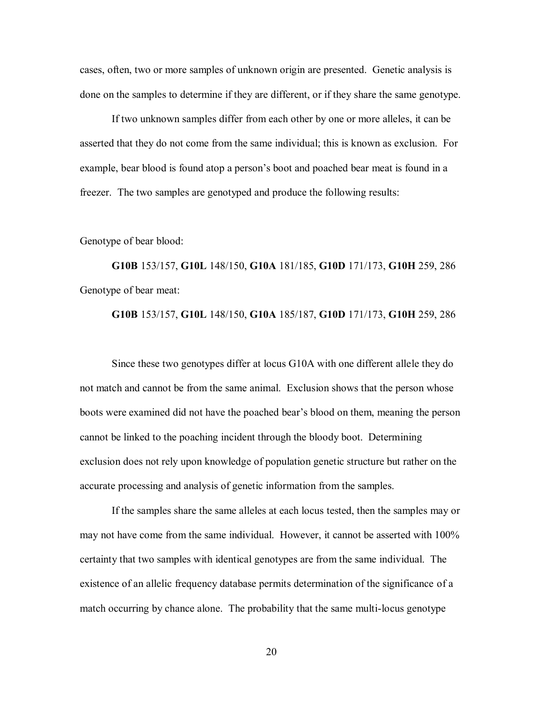cases, often, two or more samples of unknown origin are presented. Genetic analysis is done on the samples to determine if they are different, or if they share the same genotype.

If two unknown samples differ from each other by one or more alleles, it can be asserted that they do not come from the same individual; this is known as exclusion. For example, bear blood is found atop a person's boot and poached bear meat is found in a freezer. The two samples are genotyped and produce the following results:

#### Genotype of bear blood:

**G10B** 153/157, **G10L** 148/150, **G10A** 181/185, **G10D** 171/173, **G10H** 259, 286 Genotype of bear meat:

## **G10B** 153/157, **G10L** 148/150, **G10A** 185/187, **G10D** 171/173, **G10H** 259, 286

Since these two genotypes differ at locus G10A with one different allele they do not match and cannot be from the same animal. Exclusion shows that the person whose boots were examined did not have the poached bear's blood on them, meaning the person cannot be linked to the poaching incident through the bloody boot. Determining exclusion does not rely upon knowledge of population genetic structure but rather on the accurate processing and analysis of genetic information from the samples.

If the samples share the same alleles at each locus tested, then the samples may or may not have come from the same individual. However, it cannot be asserted with 100% certainty that two samples with identical genotypes are from the same individual. The existence of an allelic frequency database permits determination of the significance of a match occurring by chance alone. The probability that the same multi-locus genotype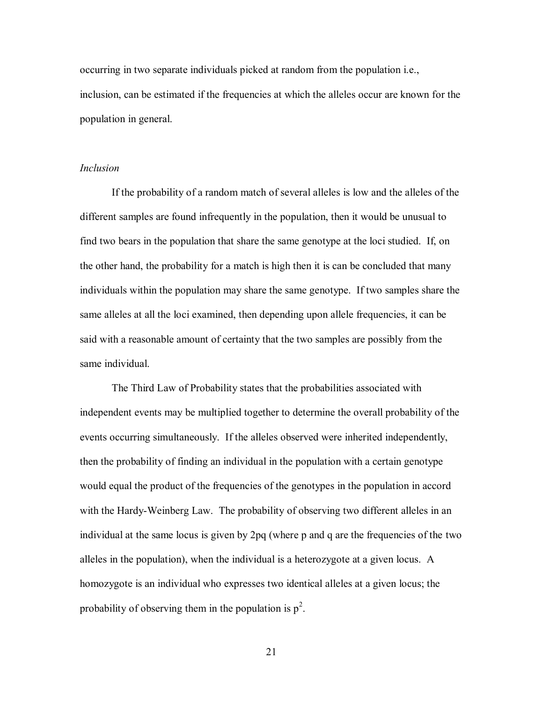occurring in two separate individuals picked at random from the population i.e., inclusion, can be estimated if the frequencies at which the alleles occur are known for the population in general.

# *Inclusion*

If the probability of a random match of several alleles is low and the alleles of the different samples are found infrequently in the population, then it would be unusual to find two bears in the population that share the same genotype at the loci studied. If, on the other hand, the probability for a match is high then it is can be concluded that many individuals within the population may share the same genotype. If two samples share the same alleles at all the loci examined, then depending upon allele frequencies, it can be said with a reasonable amount of certainty that the two samples are possibly from the same individual.

The Third Law of Probability states that the probabilities associated with independent events may be multiplied together to determine the overall probability of the events occurring simultaneously. If the alleles observed were inherited independently, then the probability of finding an individual in the population with a certain genotype would equal the product of the frequencies of the genotypes in the population in accord with the Hardy-Weinberg Law. The probability of observing two different alleles in an individual at the same locus is given by 2pq (where p and q are the frequencies of the two alleles in the population), when the individual is a heterozygote at a given locus. A homozygote is an individual who expresses two identical alleles at a given locus; the probability of observing them in the population is  $p^2$ .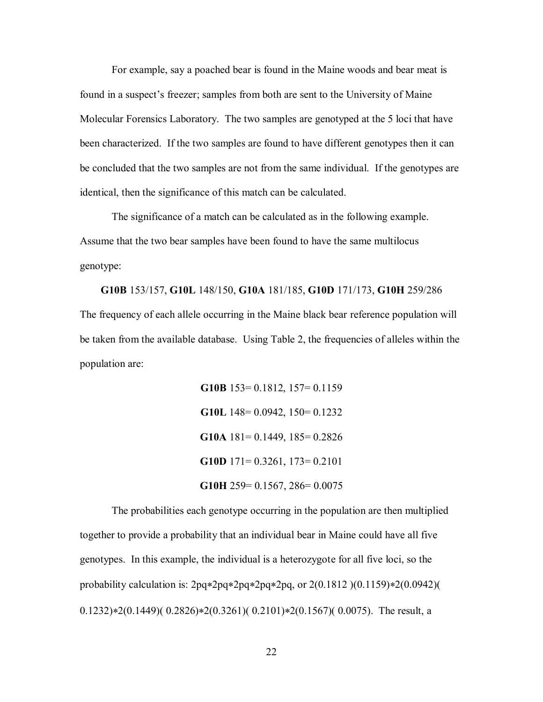For example, say a poached bear is found in the Maine woods and bear meat is found in a suspect's freezer; samples from both are sent to the University of Maine Molecular Forensics Laboratory. The two samples are genotyped at the 5 loci that have been characterized. If the two samples are found to have different genotypes then it can be concluded that the two samples are not from the same individual. If the genotypes are identical, then the significance of this match can be calculated.

The significance of a match can be calculated as in the following example. Assume that the two bear samples have been found to have the same multilocus genotype:

**G10B** 153/157, **G10L** 148/150, **G10A** 181/185, **G10D** 171/173, **G10H** 259/286 The frequency of each allele occurring in the Maine black bear reference population will be taken from the available database. Using Table 2, the frequencies of alleles within the population are:

> **G10B** 153= 0.1812, 157= 0.1159 **G10L** 148= 0.0942, 150= 0.1232 **G10A** 181= 0.1449, 185= 0.2826 **G10D** 171= 0.3261, 173= 0.2101 **G10H** 259= 0.1567, 286= 0.0075

The probabilities each genotype occurring in the population are then multiplied together to provide a probability that an individual bear in Maine could have all five genotypes. In this example, the individual is a heterozygote for all five loci, so the probability calculation is:  $2pq*2pq*2pq*2pq$ , or  $2(0.1812)(0.1159)*2(0.0942)$  $(0.1232) * 2(0.1449)$  $(0.2826) * 2(0.3261)$  $(0.2101) * 2(0.1567)$  $(0.0075)$ . The result, a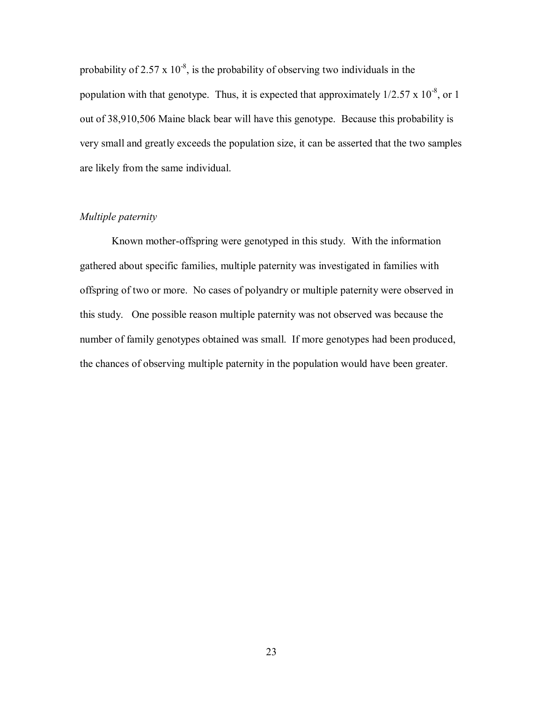probability of 2.57 x  $10^{-8}$ , is the probability of observing two individuals in the population with that genotype. Thus, it is expected that approximately  $1/2.57 \times 10^{-8}$ , or 1 out of 38,910,506 Maine black bear will have this genotype. Because this probability is very small and greatly exceeds the population size, it can be asserted that the two samples are likely from the same individual.

# *Multiple paternity*

Known mother-offspring were genotyped in this study. With the information gathered about specific families, multiple paternity was investigated in families with offspring of two or more. No cases of polyandry or multiple paternity were observed in this study. One possible reason multiple paternity was not observed was because the number of family genotypes obtained was small. If more genotypes had been produced, the chances of observing multiple paternity in the population would have been greater.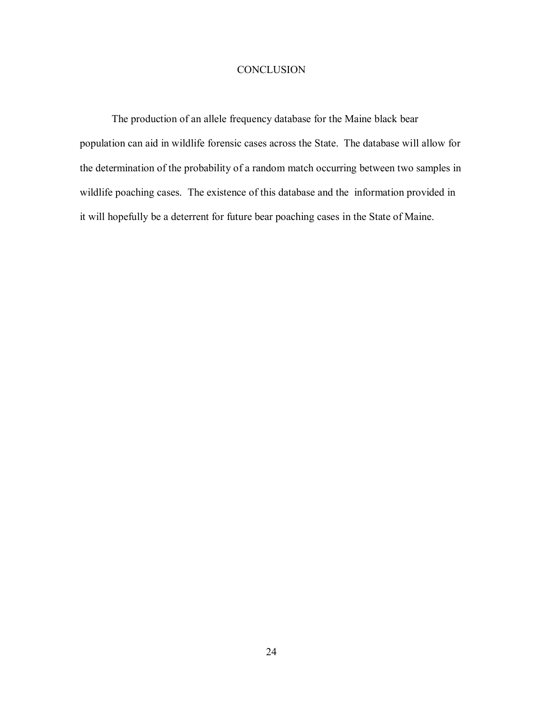# **CONCLUSION**

The production of an allele frequency database for the Maine black bear population can aid in wildlife forensic cases across the State. The database will allow for the determination of the probability of a random match occurring between two samples in wildlife poaching cases. The existence of this database and the information provided in it will hopefully be a deterrent for future bear poaching cases in the State of Maine.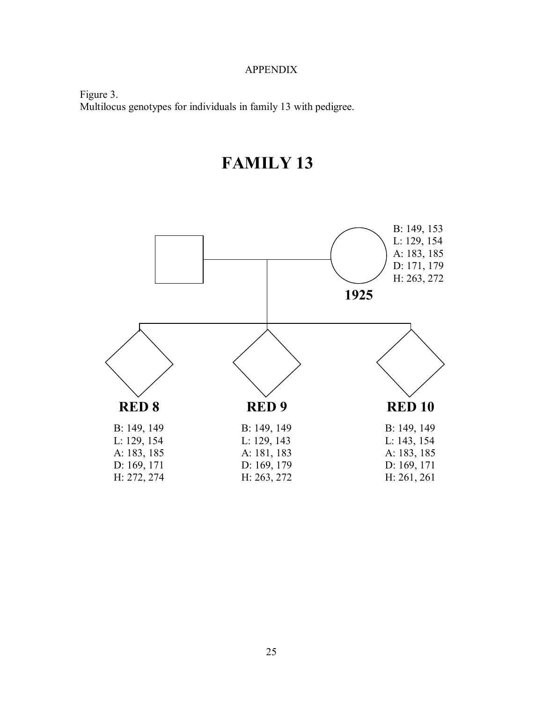# APPENDIX

Figure 3. Multilocus genotypes for individuals in family 13 with pedigree.



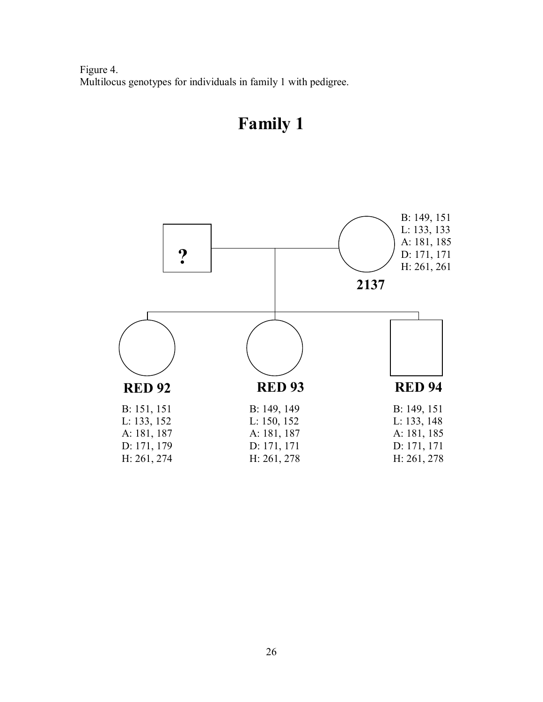Figure 4. Multilocus genotypes for individuals in family 1 with pedigree.

# **Family 1**

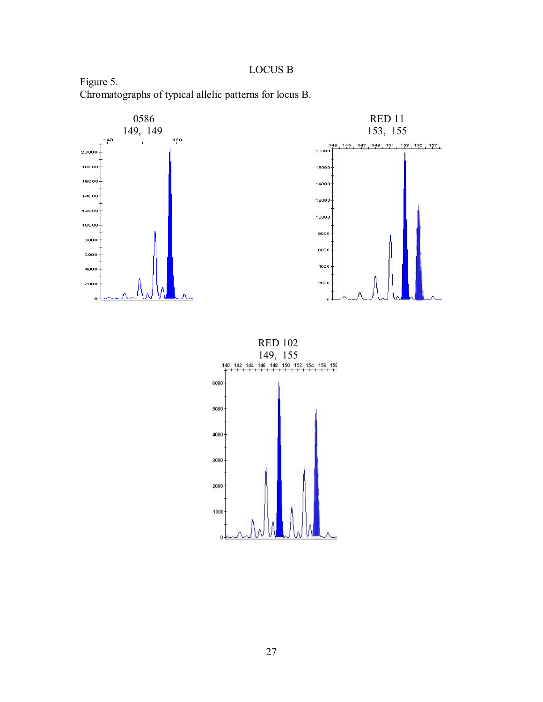# LOCUS B

Figure 5. Chromatographs of typical allelic patterns for locus B.



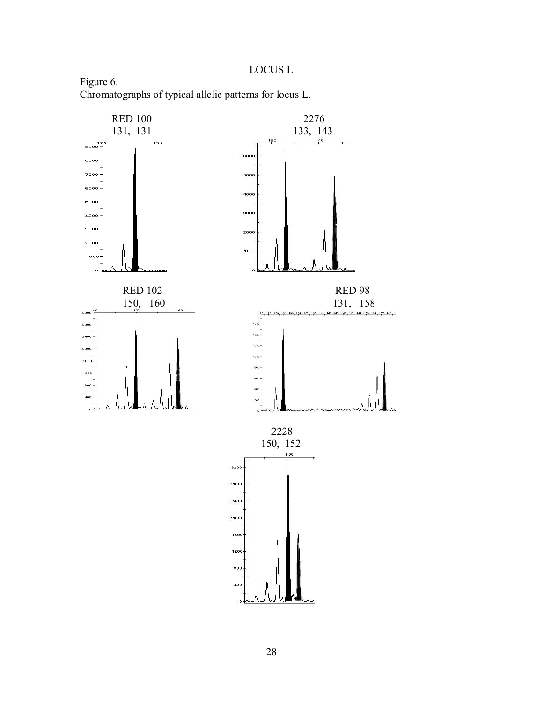LOCUS L

Figure 6. Chromatographs of typical allelic patterns for locus L.

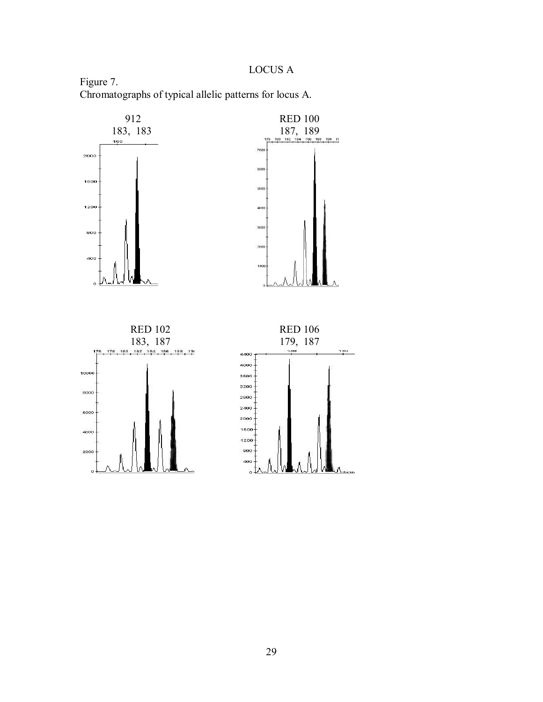LOCUS A

Figure 7. Chromatographs of typical allelic patterns for locus A.

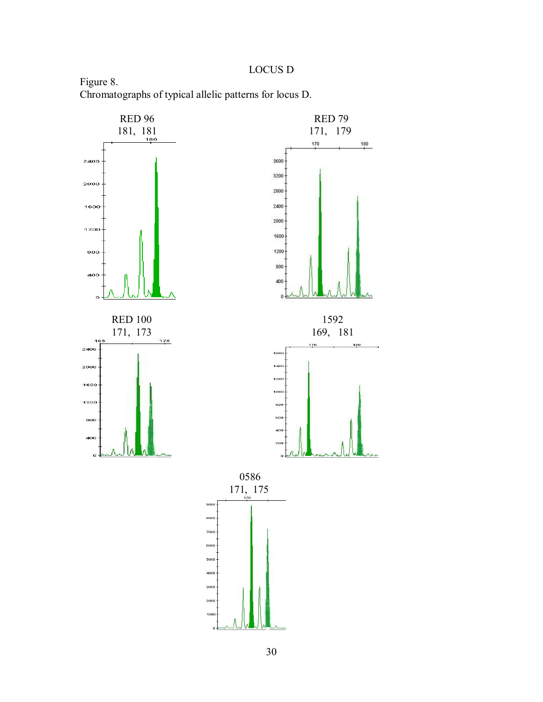# LOCUS D

Figure 8. Chromatographs of typical allelic patterns for locus D.

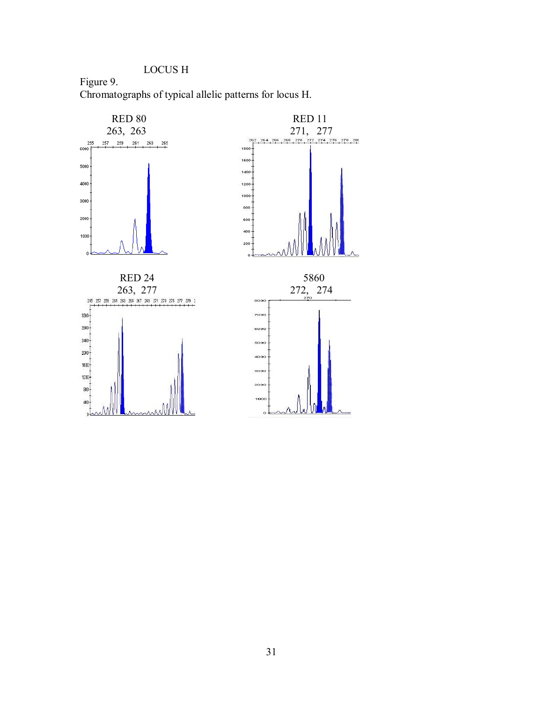LOCUS H

Figure 9. Chromatographs of typical allelic patterns for locus H.

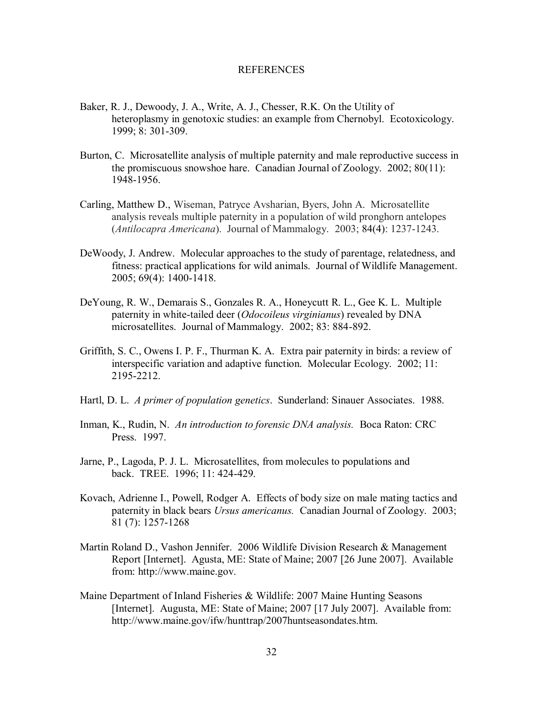### REFERENCES

- Baker, R. J., Dewoody, J. A., Write, A. J., Chesser, R.K. On the Utility of heteroplasmy in genotoxic studies: an example from Chernobyl. Ecotoxicology. 1999; 8: 301-309.
- Burton, C. Microsatellite analysis of multiple paternity and male reproductive success in the promiscuous snowshoe hare. Canadian Journal of Zoology. 2002; 80(11): 1948-1956.
- Carling, Matthew D., Wiseman, Patryce Avsharian, Byers, John A. Microsatellite analysis reveals multiple paternity in a population of wild pronghorn antelopes (*Antilocapra Americana*). Journal of Mammalogy. 2003; 84(4): 1237-1243.
- DeWoody, J. Andrew. Molecular approaches to the study of parentage, relatedness, and fitness: practical applications for wild animals. Journal of Wildlife Management. 2005; 69(4): 1400-1418.
- DeYoung, R. W., Demarais S., Gonzales R. A., Honeycutt R. L., Gee K. L. Multiple paternity in white-tailed deer (*Odocoileus virginianus*) revealed by DNA microsatellites. Journal of Mammalogy. 2002; 83: 884-892.
- Griffith, S. C., Owens I. P. F., Thurman K. A. Extra pair paternity in birds: a review of interspecific variation and adaptive function. Molecular Ecology. 2002; 11: 2195-2212.
- Hartl, D. L. *A primer of population genetics*. Sunderland: Sinauer Associates. 1988.
- Inman, K., Rudin, N. *An introduction to forensic DNA analysis.* Boca Raton: CRC Press. 1997.
- Jarne, P., Lagoda, P. J. L. Microsatellites, from molecules to populations and back. TREE. 1996; 11: 424-429.
- Kovach, Adrienne I., Powell, Rodger A. Effects of body size on male mating tactics and paternity in black bears *Ursus americanus.* Canadian Journal of Zoology. 2003; 81 (7): 1257-1268
- Martin Roland D., Vashon Jennifer. 2006 Wildlife Division Research & Management Report [Internet]. Agusta, ME: State of Maine; 2007 [26 June 2007]. Available from: http://www.maine.gov.
- Maine Department of Inland Fisheries & Wildlife: 2007 Maine Hunting Seasons [Internet]. Augusta, ME: State of Maine; 2007 [17 July 2007]. Available from: http://www.maine.gov/ifw/hunttrap/2007huntseasondates.htm.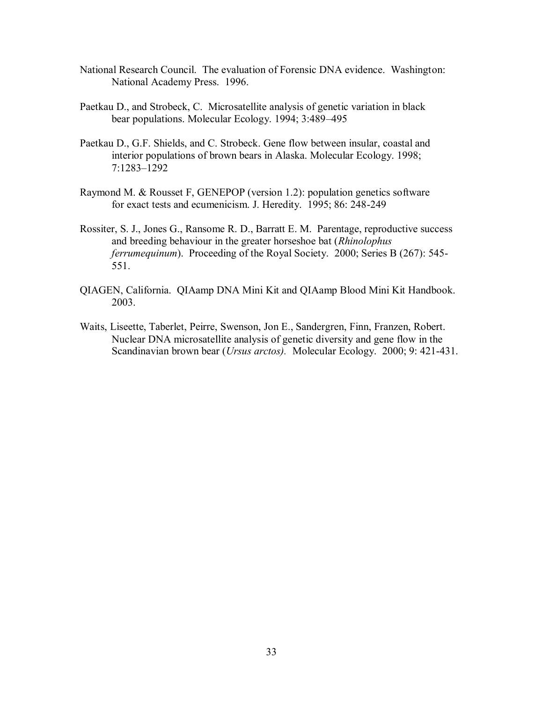- National Research Council. The evaluation of Forensic DNA evidence. Washington: National Academy Press. 1996.
- Paetkau D., and Strobeck, C. Microsatellite analysis of genetic variation in black bear populations. Molecular Ecology. 1994; 3:489–495
- Paetkau D., G.F. Shields, and C. Strobeck. Gene flow between insular, coastal and interior populations of brown bears in Alaska. Molecular Ecology. 1998; 7:1283–1292
- Raymond M. & Rousset F, GENEPOP (version 1.2): population genetics software for exact tests and ecumenicism. J. Heredity. 1995; 86: 248-249
- Rossiter, S. J., Jones G., Ransome R. D., Barratt E. M. Parentage, reproductive success and breeding behaviour in the greater horseshoe bat (*Rhinolophus ferrumequinum*). Proceeding of the Royal Society. 2000; Series B (267): 545- 551.
- QIAGEN, California. QIAamp DNA Mini Kit and QIAamp Blood Mini Kit Handbook. 2003.
- Waits, Liseette, Taberlet, Peirre, Swenson, Jon E., Sandergren, Finn, Franzen, Robert. Nuclear DNA microsatellite analysis of genetic diversity and gene flow in the Scandinavian brown bear (*Ursus arctos).* Molecular Ecology. 2000; 9: 421-431.